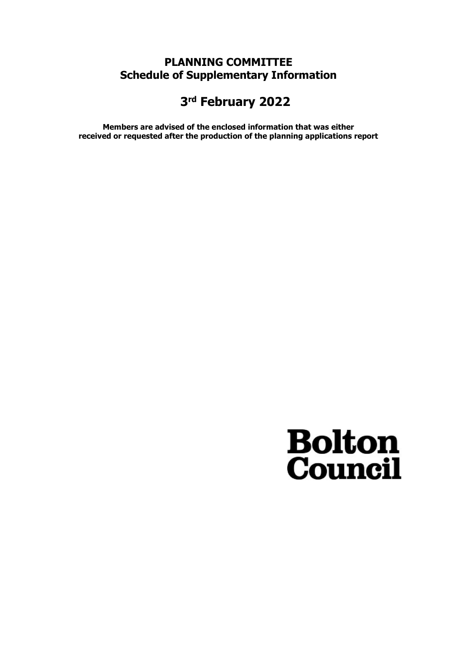# PLANNING COMMITTEE Schedule of Supplementary Information

# 3 rd February 2022

Members are advised of the enclosed information that was either received or requested after the production of the planning applications report

# **Bolton**<br>**Council**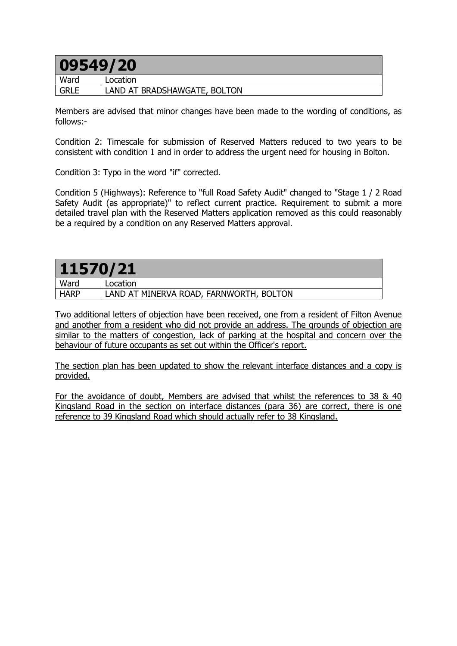# 09549/20

| ----------  |                              |
|-------------|------------------------------|
| Ward        | Location                     |
| <b>GRLE</b> | LAND AT BRADSHAWGATE, BOLTON |

Members are advised that minor changes have been made to the wording of conditions, as follows:-

Condition 2: Timescale for submission of Reserved Matters reduced to two years to be consistent with condition 1 and in order to address the urgent need for housing in Bolton.

Condition 3: Typo in the word "if" corrected.

Condition 5 (Highways): Reference to "full Road Safety Audit" changed to "Stage 1 / 2 Road Safety Audit (as appropriate)" to reflect current practice. Requirement to submit a more detailed travel plan with the Reserved Matters application removed as this could reasonably be a required by a condition on any Reserved Matters approval.

| 11570/21    |                                         |
|-------------|-----------------------------------------|
| Ward        | Location                                |
| <b>HARP</b> | LAND AT MINERVA ROAD, FARNWORTH, BOLTON |

Two additional letters of objection have been received, one from a resident of Filton Avenue and another from a resident who did not provide an address. The grounds of objection are similar to the matters of congestion, lack of parking at the hospital and concern over the behaviour of future occupants as set out within the Officer's report.

The section plan has been updated to show the relevant interface distances and a copy is provided.

For the avoidance of doubt, Members are advised that whilst the references to 38 & 40 Kingsland Road in the section on interface distances (para 36) are correct, there is one reference to 39 Kingsland Road which should actually refer to 38 Kingsland.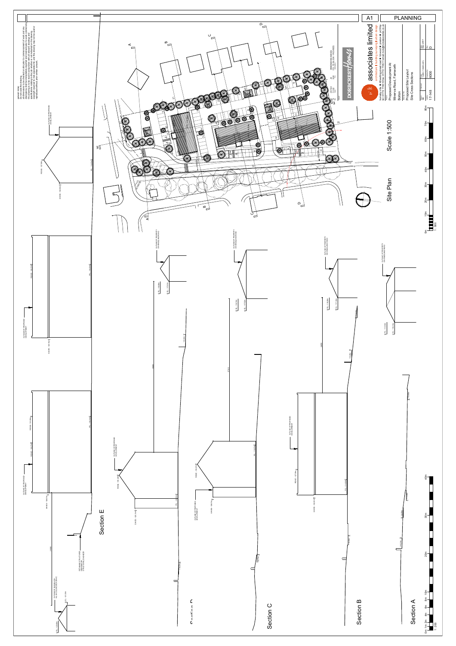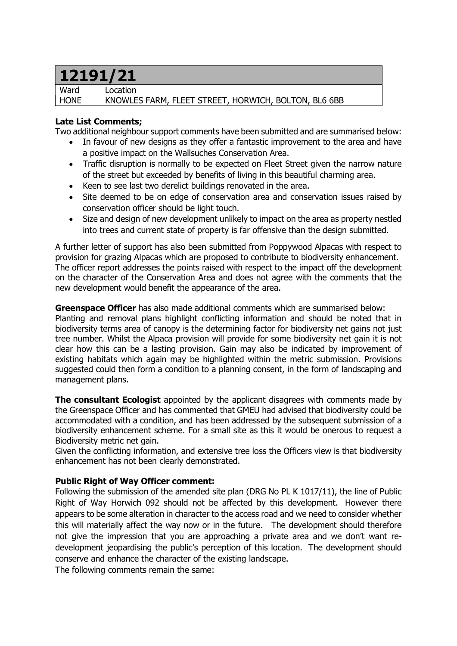# 12191/21

Ward Location HONE KNOWLES FARM, FLEET STREET, HORWICH, BOLTON, BL6 6BB

## Late List Comments;

Two additional neighbour support comments have been submitted and are summarised below:

- In favour of new designs as they offer a fantastic improvement to the area and have a positive impact on the Wallsuches Conservation Area.
- Traffic disruption is normally to be expected on Fleet Street given the narrow nature of the street but exceeded by benefits of living in this beautiful charming area.
- Keen to see last two derelict buildings renovated in the area.
- Site deemed to be on edge of conservation area and conservation issues raised by conservation officer should be light touch.
- Size and design of new development unlikely to impact on the area as property nestled into trees and current state of property is far offensive than the design submitted.

A further letter of support has also been submitted from Poppywood Alpacas with respect to provision for grazing Alpacas which are proposed to contribute to biodiversity enhancement. The officer report addresses the points raised with respect to the impact off the development on the character of the Conservation Area and does not agree with the comments that the new development would benefit the appearance of the area.

**Greenspace Officer** has also made additional comments which are summarised below: Planting and removal plans highlight conflicting information and should be noted that in biodiversity terms area of canopy is the determining factor for biodiversity net gains not just tree number. Whilst the Alpaca provision will provide for some biodiversity net gain it is not clear how this can be a lasting provision. Gain may also be indicated by improvement of existing habitats which again may be highlighted within the metric submission. Provisions suggested could then form a condition to a planning consent, in the form of landscaping and management plans.

The consultant Ecologist appointed by the applicant disagrees with comments made by the Greenspace Officer and has commented that GMEU had advised that biodiversity could be accommodated with a condition, and has been addressed by the subsequent submission of a biodiversity enhancement scheme. For a small site as this it would be onerous to request a Biodiversity metric net gain.

Given the conflicting information, and extensive tree loss the Officers view is that biodiversity enhancement has not been clearly demonstrated.

# Public Right of Way Officer comment:

Following the submission of the amended site plan (DRG No PL K 1017/11), the line of Public Right of Way Horwich 092 should not be affected by this development. However there appears to be some alteration in character to the access road and we need to consider whether this will materially affect the way now or in the future. The development should therefore not give the impression that you are approaching a private area and we don't want redevelopment jeopardising the public's perception of this location. The development should conserve and enhance the character of the existing landscape.

The following comments remain the same: